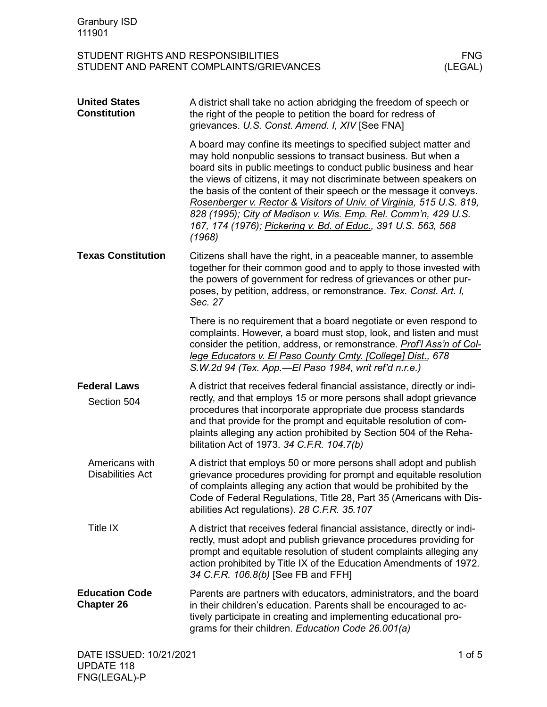| <b>Granbury ISD</b><br>111901                                                                            |                                                                                                                                                                                                                                                                                                                                                                                                                                                                                                                                                                         |  |
|----------------------------------------------------------------------------------------------------------|-------------------------------------------------------------------------------------------------------------------------------------------------------------------------------------------------------------------------------------------------------------------------------------------------------------------------------------------------------------------------------------------------------------------------------------------------------------------------------------------------------------------------------------------------------------------------|--|
| STUDENT RIGHTS AND RESPONSIBILITIES<br><b>FNG</b><br>STUDENT AND PARENT COMPLAINTS/GRIEVANCES<br>(LEGAL) |                                                                                                                                                                                                                                                                                                                                                                                                                                                                                                                                                                         |  |
| <b>United States</b><br><b>Constitution</b>                                                              | A district shall take no action abridging the freedom of speech or<br>the right of the people to petition the board for redress of<br>grievances. U.S. Const. Amend. I, XIV [See FNA]                                                                                                                                                                                                                                                                                                                                                                                   |  |
|                                                                                                          | A board may confine its meetings to specified subject matter and<br>may hold nonpublic sessions to transact business. But when a<br>board sits in public meetings to conduct public business and hear<br>the views of citizens, it may not discriminate between speakers on<br>the basis of the content of their speech or the message it conveys.<br>Rosenberger v. Rector & Visitors of Univ. of Virginia, 515 U.S. 819,<br>828 (1995); City of Madison v. Wis. Emp. Rel. Comm'n, 429 U.S.<br>167, 174 (1976); Pickering v. Bd. of Educ., 391 U.S. 563, 568<br>(1968) |  |
| <b>Texas Constitution</b>                                                                                | Citizens shall have the right, in a peaceable manner, to assemble<br>together for their common good and to apply to those invested with<br>the powers of government for redress of grievances or other pur-<br>poses, by petition, address, or remonstrance. Tex. Const. Art. I,<br>Sec. 27                                                                                                                                                                                                                                                                             |  |
|                                                                                                          | There is no requirement that a board negotiate or even respond to<br>complaints. However, a board must stop, look, and listen and must<br>consider the petition, address, or remonstrance. Prof'l Ass'n of Col-<br>lege Educators v. El Paso County Cmty. [College] Dist., 678<br>S.W.2d 94 (Tex. App.—El Paso 1984, writ ref'd n.r.e.)                                                                                                                                                                                                                                 |  |
| <b>Federal Laws</b><br>Section 504                                                                       | A district that receives federal financial assistance, directly or indi-<br>rectly, and that employs 15 or more persons shall adopt grievance<br>procedures that incorporate appropriate due process standards<br>and that provide for the prompt and equitable resolution of com-<br>plaints alleging any action prohibited by Section 504 of the Reha-<br>bilitation Act of 1973. 34 C.F.R. 104.7(b)                                                                                                                                                                  |  |
| Americans with<br><b>Disabilities Act</b>                                                                | A district that employs 50 or more persons shall adopt and publish<br>grievance procedures providing for prompt and equitable resolution<br>of complaints alleging any action that would be prohibited by the<br>Code of Federal Regulations, Title 28, Part 35 (Americans with Dis-<br>abilities Act regulations). 28 C.F.R. 35.107                                                                                                                                                                                                                                    |  |
| Title IX                                                                                                 | A district that receives federal financial assistance, directly or indi-<br>rectly, must adopt and publish grievance procedures providing for<br>prompt and equitable resolution of student complaints alleging any<br>action prohibited by Title IX of the Education Amendments of 1972.<br>34 C.F.R. 106.8(b) [See FB and FFH]                                                                                                                                                                                                                                        |  |
| <b>Education Code</b><br><b>Chapter 26</b>                                                               | Parents are partners with educators, administrators, and the board<br>in their children's education. Parents shall be encouraged to ac-<br>tively participate in creating and implementing educational pro-<br>grams for their children. Education Code 26.001(a)                                                                                                                                                                                                                                                                                                       |  |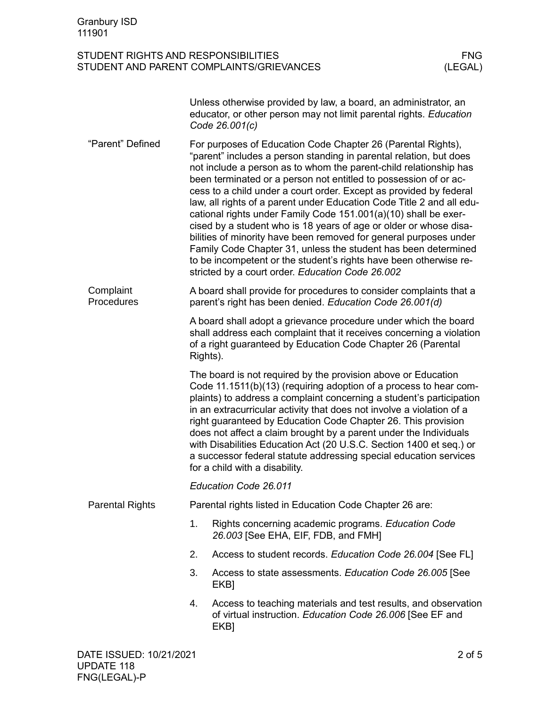|                         |                                                                                                                                                                                                                                                                                                                                                                                                                                                                                                                                                                                                         | Unless otherwise provided by law, a board, an administrator, an<br>educator, or other person may not limit parental rights. Education<br>Code 26.001(c)                                                                                                                                                                                                                                                                                                                                                                                                                                                                                                                                                                                                                                                                            |  |  |  |  |
|-------------------------|---------------------------------------------------------------------------------------------------------------------------------------------------------------------------------------------------------------------------------------------------------------------------------------------------------------------------------------------------------------------------------------------------------------------------------------------------------------------------------------------------------------------------------------------------------------------------------------------------------|------------------------------------------------------------------------------------------------------------------------------------------------------------------------------------------------------------------------------------------------------------------------------------------------------------------------------------------------------------------------------------------------------------------------------------------------------------------------------------------------------------------------------------------------------------------------------------------------------------------------------------------------------------------------------------------------------------------------------------------------------------------------------------------------------------------------------------|--|--|--|--|
| "Parent" Defined        |                                                                                                                                                                                                                                                                                                                                                                                                                                                                                                                                                                                                         | For purposes of Education Code Chapter 26 (Parental Rights),<br>"parent" includes a person standing in parental relation, but does<br>not include a person as to whom the parent-child relationship has<br>been terminated or a person not entitled to possession of or ac-<br>cess to a child under a court order. Except as provided by federal<br>law, all rights of a parent under Education Code Title 2 and all edu-<br>cational rights under Family Code 151.001(a)(10) shall be exer-<br>cised by a student who is 18 years of age or older or whose disa-<br>bilities of minority have been removed for general purposes under<br>Family Code Chapter 31, unless the student has been determined<br>to be incompetent or the student's rights have been otherwise re-<br>stricted by a court order. Education Code 26.002 |  |  |  |  |
| Complaint<br>Procedures |                                                                                                                                                                                                                                                                                                                                                                                                                                                                                                                                                                                                         | A board shall provide for procedures to consider complaints that a<br>parent's right has been denied. Education Code 26.001(d)                                                                                                                                                                                                                                                                                                                                                                                                                                                                                                                                                                                                                                                                                                     |  |  |  |  |
|                         | Rights).                                                                                                                                                                                                                                                                                                                                                                                                                                                                                                                                                                                                | A board shall adopt a grievance procedure under which the board<br>shall address each complaint that it receives concerning a violation<br>of a right guaranteed by Education Code Chapter 26 (Parental                                                                                                                                                                                                                                                                                                                                                                                                                                                                                                                                                                                                                            |  |  |  |  |
|                         | The board is not required by the provision above or Education<br>Code 11.1511(b)(13) (requiring adoption of a process to hear com-<br>plaints) to address a complaint concerning a student's participation<br>in an extracurricular activity that does not involve a violation of a<br>right guaranteed by Education Code Chapter 26. This provision<br>does not affect a claim brought by a parent under the Individuals<br>with Disabilities Education Act (20 U.S.C. Section 1400 et seq.) or<br>a successor federal statute addressing special education services<br>for a child with a disability. |                                                                                                                                                                                                                                                                                                                                                                                                                                                                                                                                                                                                                                                                                                                                                                                                                                    |  |  |  |  |
|                         |                                                                                                                                                                                                                                                                                                                                                                                                                                                                                                                                                                                                         | Education Code 26.011                                                                                                                                                                                                                                                                                                                                                                                                                                                                                                                                                                                                                                                                                                                                                                                                              |  |  |  |  |
| <b>Parental Rights</b>  |                                                                                                                                                                                                                                                                                                                                                                                                                                                                                                                                                                                                         | Parental rights listed in Education Code Chapter 26 are:                                                                                                                                                                                                                                                                                                                                                                                                                                                                                                                                                                                                                                                                                                                                                                           |  |  |  |  |
|                         | 1.                                                                                                                                                                                                                                                                                                                                                                                                                                                                                                                                                                                                      | Rights concerning academic programs. Education Code<br>26.003 [See EHA, EIF, FDB, and FMH]                                                                                                                                                                                                                                                                                                                                                                                                                                                                                                                                                                                                                                                                                                                                         |  |  |  |  |
|                         | 2.                                                                                                                                                                                                                                                                                                                                                                                                                                                                                                                                                                                                      | Access to student records. Education Code 26.004 [See FL]                                                                                                                                                                                                                                                                                                                                                                                                                                                                                                                                                                                                                                                                                                                                                                          |  |  |  |  |
|                         | 3.                                                                                                                                                                                                                                                                                                                                                                                                                                                                                                                                                                                                      | Access to state assessments. Education Code 26.005 [See<br>EKB <sub>l</sub>                                                                                                                                                                                                                                                                                                                                                                                                                                                                                                                                                                                                                                                                                                                                                        |  |  |  |  |
|                         | 4.                                                                                                                                                                                                                                                                                                                                                                                                                                                                                                                                                                                                      | Access to teaching materials and test results, and observation<br>of virtual instruction. Education Code 26.006 [See EF and<br>EKB]                                                                                                                                                                                                                                                                                                                                                                                                                                                                                                                                                                                                                                                                                                |  |  |  |  |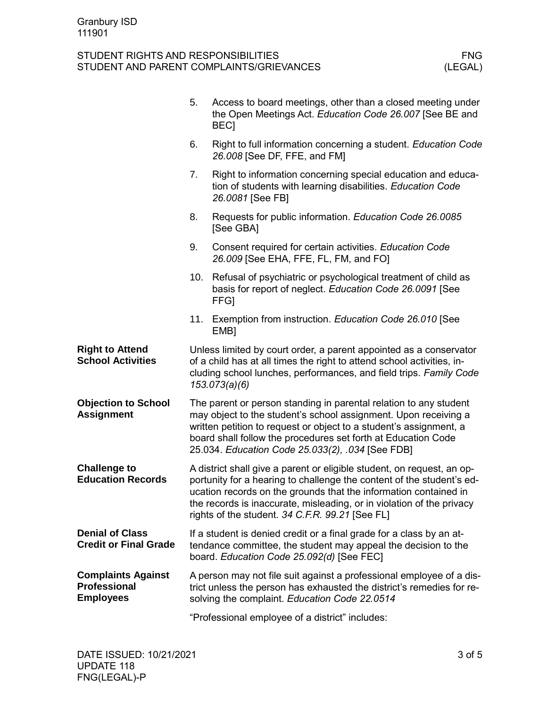|                                                               | 5.                                                                                                                                                                                                                                                                                                                                              | Access to board meetings, other than a closed meeting under<br>the Open Meetings Act. Education Code 26.007 [See BE and<br><b>BECI</b>                                                         |  |
|---------------------------------------------------------------|-------------------------------------------------------------------------------------------------------------------------------------------------------------------------------------------------------------------------------------------------------------------------------------------------------------------------------------------------|------------------------------------------------------------------------------------------------------------------------------------------------------------------------------------------------|--|
|                                                               | 6.                                                                                                                                                                                                                                                                                                                                              | Right to full information concerning a student. Education Code<br>26.008 [See DF, FFE, and FM]                                                                                                 |  |
|                                                               | 7.                                                                                                                                                                                                                                                                                                                                              | Right to information concerning special education and educa-<br>tion of students with learning disabilities. Education Code<br>26.0081 [See FB]                                                |  |
|                                                               | 8.                                                                                                                                                                                                                                                                                                                                              | Requests for public information. Education Code 26.0085<br>[See GBA]                                                                                                                           |  |
|                                                               | 9.                                                                                                                                                                                                                                                                                                                                              | Consent required for certain activities. Education Code<br>26.009 [See EHA, FFE, FL, FM, and FO]                                                                                               |  |
|                                                               | 10.                                                                                                                                                                                                                                                                                                                                             | Refusal of psychiatric or psychological treatment of child as<br>basis for report of neglect. Education Code 26.0091 [See<br><b>FFGI</b>                                                       |  |
|                                                               | 11.                                                                                                                                                                                                                                                                                                                                             | Exemption from instruction. Education Code 26.010 [See<br>EMB <sub>1</sub>                                                                                                                     |  |
| <b>Right to Attend</b><br><b>School Activities</b>            | Unless limited by court order, a parent appointed as a conservator<br>of a child has at all times the right to attend school activities, in-<br>cluding school lunches, performances, and field trips. Family Code<br>153.073(a)(6)                                                                                                             |                                                                                                                                                                                                |  |
| <b>Objection to School</b><br><b>Assignment</b>               | The parent or person standing in parental relation to any student<br>may object to the student's school assignment. Upon receiving a<br>written petition to request or object to a student's assignment, a<br>board shall follow the procedures set forth at Education Code<br>25.034. Education Code 25.033(2), .034 [See FDB]                 |                                                                                                                                                                                                |  |
| <b>Challenge to</b><br><b>Education Records</b>               | A district shall give a parent or eligible student, on request, an op-<br>portunity for a hearing to challenge the content of the student's ed-<br>ucation records on the grounds that the information contained in<br>the records is inaccurate, misleading, or in violation of the privacy<br>rights of the student. 34 C.F.R. 99.21 [See FL] |                                                                                                                                                                                                |  |
| <b>Denial of Class</b><br><b>Credit or Final Grade</b>        |                                                                                                                                                                                                                                                                                                                                                 | If a student is denied credit or a final grade for a class by an at-<br>tendance committee, the student may appeal the decision to the<br>board. Education Code 25.092(d) [See FEC]            |  |
| <b>Complaints Against</b><br>Professional<br><b>Employees</b> |                                                                                                                                                                                                                                                                                                                                                 | A person may not file suit against a professional employee of a dis-<br>trict unless the person has exhausted the district's remedies for re-<br>solving the complaint. Education Code 22.0514 |  |
|                                                               |                                                                                                                                                                                                                                                                                                                                                 | "Professional employee of a district" includes:                                                                                                                                                |  |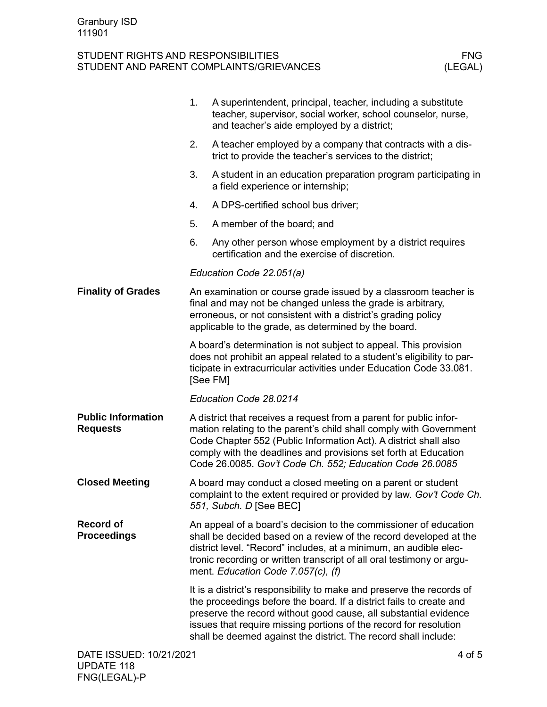FNG(LEGAL)-P

|                                              | 1. | A superintendent, principal, teacher, including a substitute<br>teacher, supervisor, social worker, school counselor, nurse,<br>and teacher's aide employed by a district;                                                                                                                                                                               |
|----------------------------------------------|----|----------------------------------------------------------------------------------------------------------------------------------------------------------------------------------------------------------------------------------------------------------------------------------------------------------------------------------------------------------|
|                                              | 2. | A teacher employed by a company that contracts with a dis-<br>trict to provide the teacher's services to the district;                                                                                                                                                                                                                                   |
|                                              | 3. | A student in an education preparation program participating in<br>a field experience or internship;                                                                                                                                                                                                                                                      |
|                                              | 4. | A DPS-certified school bus driver;                                                                                                                                                                                                                                                                                                                       |
|                                              | 5. | A member of the board; and                                                                                                                                                                                                                                                                                                                               |
|                                              | 6. | Any other person whose employment by a district requires<br>certification and the exercise of discretion.                                                                                                                                                                                                                                                |
|                                              |    | Education Code 22.051(a)                                                                                                                                                                                                                                                                                                                                 |
| <b>Finality of Grades</b>                    |    | An examination or course grade issued by a classroom teacher is<br>final and may not be changed unless the grade is arbitrary,<br>erroneous, or not consistent with a district's grading policy<br>applicable to the grade, as determined by the board.                                                                                                  |
|                                              |    | A board's determination is not subject to appeal. This provision<br>does not prohibit an appeal related to a student's eligibility to par-<br>ticipate in extracurricular activities under Education Code 33.081.<br>[See FM]                                                                                                                            |
|                                              |    | Education Code 28.0214                                                                                                                                                                                                                                                                                                                                   |
| <b>Public Information</b><br><b>Requests</b> |    | A district that receives a request from a parent for public infor-<br>mation relating to the parent's child shall comply with Government<br>Code Chapter 552 (Public Information Act). A district shall also<br>comply with the deadlines and provisions set forth at Education<br>Code 26.0085. Gov't Code Ch. 552; Education Code 26.0085              |
| <b>Closed Meeting</b>                        |    | A board may conduct a closed meeting on a parent or student<br>complaint to the extent required or provided by law. Gov't Code Ch.<br>551, Subch. D [See BEC]                                                                                                                                                                                            |
| <b>Record of</b><br><b>Proceedings</b>       |    | An appeal of a board's decision to the commissioner of education<br>shall be decided based on a review of the record developed at the<br>district level. "Record" includes, at a minimum, an audible elec-<br>tronic recording or written transcript of all oral testimony or argu-<br>ment. Education Code 7.057(c), (f)                                |
|                                              |    | It is a district's responsibility to make and preserve the records of<br>the proceedings before the board. If a district fails to create and<br>preserve the record without good cause, all substantial evidence<br>issues that require missing portions of the record for resolution<br>shall be deemed against the district. The record shall include: |
| DATE ISSUED: 10/21/2021<br><b>UPDATE 118</b> |    | 4 of 5                                                                                                                                                                                                                                                                                                                                                   |